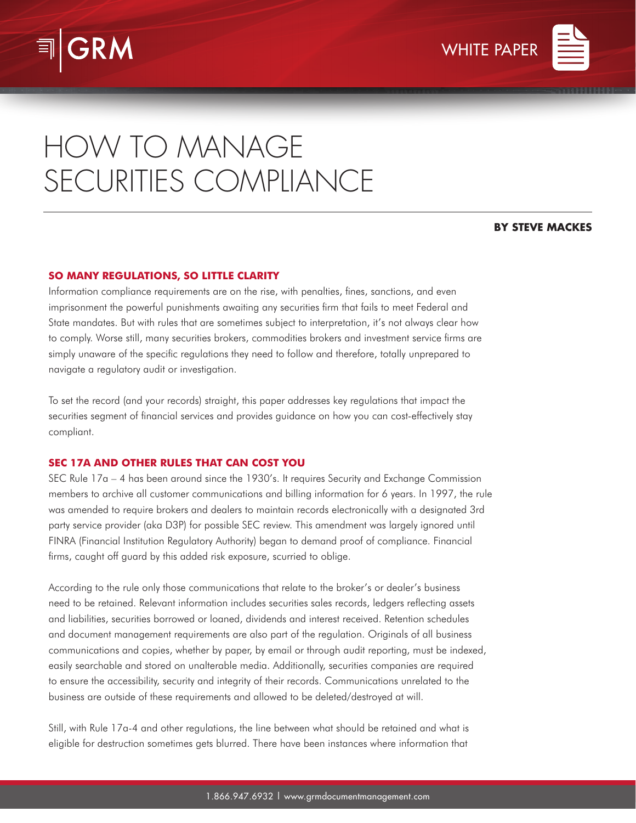



# HOW TO MANAGE SECURITIES COMPLIANCE

#### **BY STEVE MACKES**

### **SO MANY REGULATIONS, SO LITTLE CLARITY**

Information compliance requirements are on the rise, with penalties, fines, sanctions, and even imprisonment the powerful punishments awaiting any securities firm that fails to meet Federal and State mandates. But with rules that are sometimes subject to interpretation, it's not always clear how to comply. Worse still, many securities brokers, commodities brokers and investment service firms are simply unaware of the specific regulations they need to follow and therefore, totally unprepared to navigate a regulatory audit or investigation.

To set the record (and your records) straight, this paper addresses key regulations that impact the securities segment of financial services and provides guidance on how you can cost-effectively stay compliant.

# **SEC 17A AND OTHER RULES THAT CAN COST YOU**

SEC Rule 17a – 4 has been around since the 1930's. It requires Security and Exchange Commission members to archive all customer communications and billing information for 6 years. In 1997, the rule was amended to require brokers and dealers to maintain records electronically with a designated 3rd party service provider (aka D3P) for possible SEC review. This amendment was largely ignored until FINRA (Financial Institution Regulatory Authority) began to demand proof of compliance. Financial firms, caught off guard by this added risk exposure, scurried to oblige.

According to the rule only those communications that relate to the broker's or dealer's business need to be retained. Relevant information includes securities sales records, ledgers reflecting assets and liabilities, securities borrowed or loaned, dividends and interest received. Retention schedules and document management requirements are also part of the regulation. Originals of all business communications and copies, whether by paper, by email or through audit reporting, must be indexed, easily searchable and stored on unalterable media. Additionally, securities companies are required to ensure the accessibility, security and integrity of their records. Communications unrelated to the business are outside of these requirements and allowed to be deleted/destroyed at will.

Still, with Rule 17a-4 and other regulations, the line between what should be retained and what is eligible for destruction sometimes gets blurred. There have been instances where information that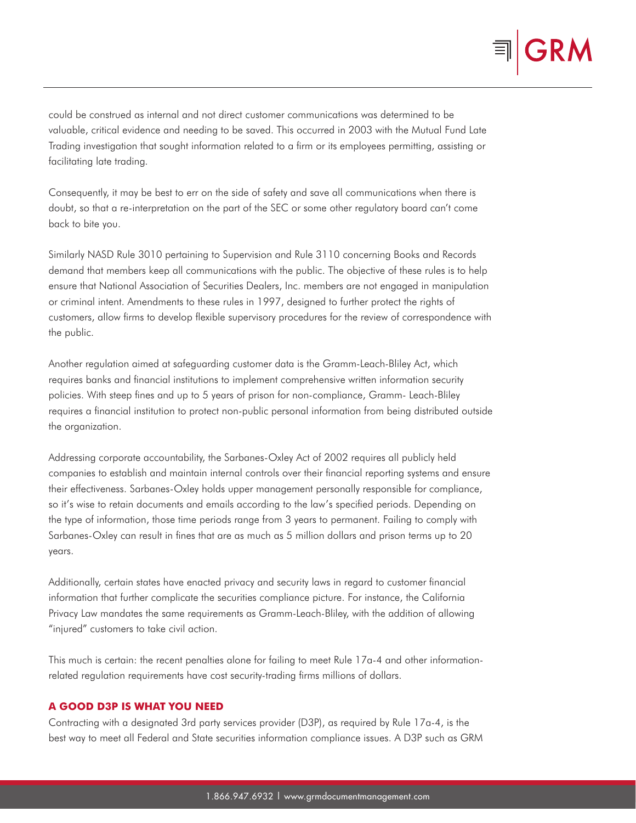

could be construed as internal and not direct customer communications was determined to be valuable, critical evidence and needing to be saved. This occurred in 2003 with the Mutual Fund Late Trading investigation that sought information related to a firm or its employees permitting, assisting or facilitating late trading.

Consequently, it may be best to err on the side of safety and save all communications when there is doubt, so that a re-interpretation on the part of the SEC or some other regulatory board can't come back to bite you.

Similarly NASD Rule 3010 pertaining to Supervision and Rule 3110 concerning Books and Records demand that members keep all communications with the public. The objective of these rules is to help ensure that National Association of Securities Dealers, Inc. members are not engaged in manipulation or criminal intent. Amendments to these rules in 1997, designed to further protect the rights of customers, allow firms to develop flexible supervisory procedures for the review of correspondence with the public.

Another regulation aimed at safeguarding customer data is the Gramm-Leach-Bliley Act, which requires banks and financial institutions to implement comprehensive written information security policies. With steep fines and up to 5 years of prison for non-compliance, Gramm- Leach-Bliley requires a financial institution to protect non-public personal information from being distributed outside the organization.

Addressing corporate accountability, the Sarbanes-Oxley Act of 2002 requires all publicly held companies to establish and maintain internal controls over their financial reporting systems and ensure their effectiveness. Sarbanes-Oxley holds upper management personally responsible for compliance, so it's wise to retain documents and emails according to the law's specified periods. Depending on the type of information, those time periods range from 3 years to permanent. Failing to comply with Sarbanes-Oxley can result in fines that are as much as 5 million dollars and prison terms up to 20 years.

Additionally, certain states have enacted privacy and security laws in regard to customer financial information that further complicate the securities compliance picture. For instance, the California Privacy Law mandates the same requirements as Gramm-Leach-Bliley, with the addition of allowing "injured" customers to take civil action.

This much is certain: the recent penalties alone for failing to meet Rule 17a-4 and other informationrelated regulation requirements have cost security-trading firms millions of dollars.

# **A GOOD D3P IS WHAT YOU NEED**

Contracting with a designated 3rd party services provider (D3P), as required by Rule 17a-4, is the best way to meet all Federal and State securities information compliance issues. A D3P such as GRM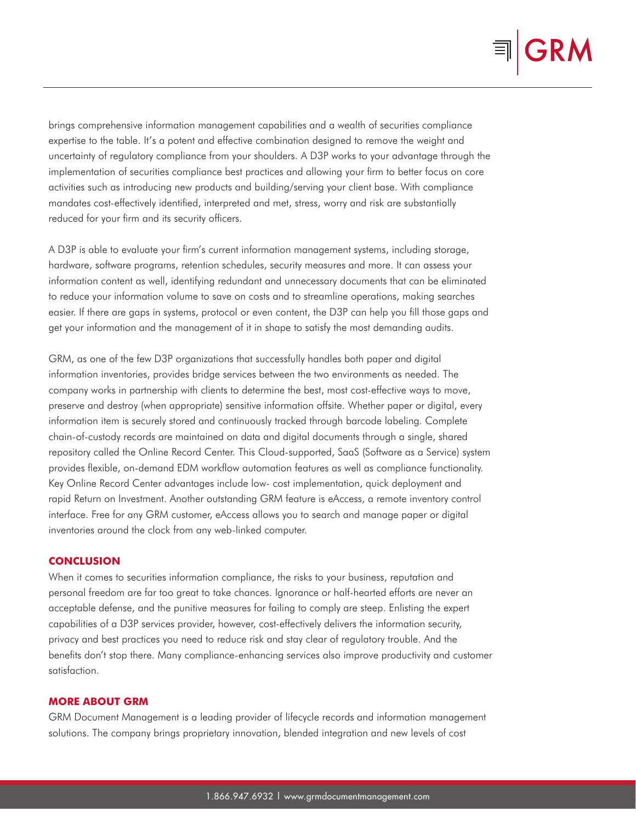

brings comprehensive information management capabilities and a wealth of securities compliance expertise to the table. It's a potent and effective combination designed to remove the weight and uncertainty of regulatory compliance from your shoulders. A D3P works to your advantage through the implementation of securities compliance best practices and allowing your firm to better focus on core activities such as introducing new products and building/serving your client base. With compliance mandates cost-effectively identified, interpreted and met, stress, worry and risk are substantially reduced for your firm and its security officers.

A D3P is able to evaluate your firm's current information management systems, including storage, hardware, software programs, retention schedules, security measures and more. It can assess your information content as well, identifying redundant and unnecessary documents that can be eliminated to reduce your information volume to save on costs and to streamline operations, making searches easier. If there are gaps in systems, protocol or even content, the D3P can help you fill those gaps and get your information and the management of it in shape to satisfy the most demanding audits.

GRM, as one of the few D3P organizations that successfully handles both paper and digital information inventories, provides bridge services between the two environments as needed. The company works in partnership with clients to determine the best, most cost-effective ways to move, preserve and destroy (when appropriate) sensitive information offsite. Whether paper or digital, every information item is securely stored and continuously tracked through barcode labeling. Complete chain-of-custody records are maintained on data and digital documents through a single, shared repository called the Online Record Center. This Cloud-supported, SaaS (Software as a Service) system provides flexible, on-demand EDM workflow automation features as well as compliance functionality. Key Online Record Center advantages include low- cost implementation, quick deployment and rapid Return on Investment. Another outstanding GRM feature is eAccess, a remote inventory control interface. Free for any GRM customer, eAccess allows you to search and manage paper or digital inventories around the clock from any web-linked computer.

#### **CONCLUSION**

When it comes to securities information compliance, the risks to your business, reputation and personal freedom are far too great to take chances. Ignorance or half-hearted efforts are never an acceptable defense, and the punitive measures for failing to comply are steep. Enlisting the expert capabilities of a D3P services provider, however, cost-effectively delivers the information security, privacy and best practices you need to reduce risk and stay clear of regulatory trouble. And the benefits don't stop there. Many compliance-enhancing services also improve productivity and customer satisfaction.

#### **MORE ABOUT GRM**

GRM Document Management is a leading provider of lifecycle records and information management solutions. The company brings proprietary innovation, blended integration and new levels of cost